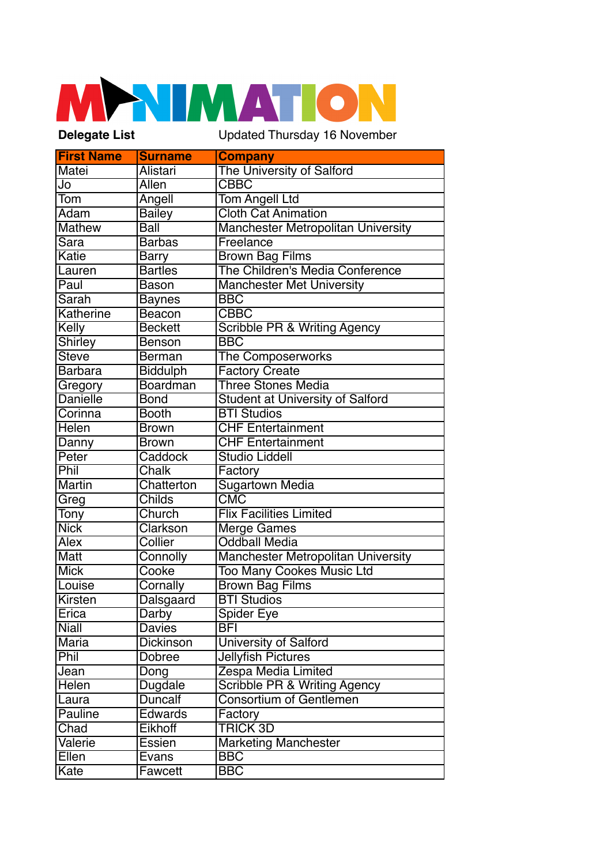## **NIMATIC Delegate List** Updated Thursday 16 November

| <b>First Name</b>            | <b>Surname</b>  | <b>Company</b>                            |
|------------------------------|-----------------|-------------------------------------------|
| Matei                        | Alistari        | The University of Salford                 |
| Jo                           | Allen           | $\overline{\text{CBBC}}$                  |
| Tom                          | Angell          | <b>Tom Angell Ltd</b>                     |
| Adam                         | <b>Bailey</b>   | <b>Cloth Cat Animation</b>                |
| <b>Mathew</b>                | Ball            | <b>Manchester Metropolitan University</b> |
| Sara                         | <b>Barbas</b>   | Freelance                                 |
| Katie                        | <b>Barry</b>    | <b>Brown Bag Films</b>                    |
| Lauren                       | <b>Bartles</b>  | The Children's Media Conference           |
| Paul                         | <b>Bason</b>    | <b>Manchester Met University</b>          |
| $\overline{\mathsf{S}}$ arah | <b>Baynes</b>   | <b>BBC</b>                                |
| Katherine                    | Beacon          | <b>CBBC</b>                               |
| Kelly                        | <b>Beckett</b>  | <b>Scribble PR &amp; Writing Agency</b>   |
| <b>Shirley</b>               | <b>Benson</b>   | <b>BBC</b>                                |
| <b>Steve</b>                 | Berman          | <b>The Composerworks</b>                  |
| <b>Barbara</b>               | <b>Biddulph</b> | <b>Factory Create</b>                     |
| Gregory                      | <b>Boardman</b> | <b>Three Stones Media</b>                 |
| <b>Danielle</b>              | <b>Bond</b>     | <b>Student at University of Salford</b>   |
| Corinna                      | <b>Booth</b>    | <b>BTI Studios</b>                        |
| Helen                        | <b>Brown</b>    | <b>CHF Entertainment</b>                  |
| Danny                        | <b>Brown</b>    | <b>CHF Entertainment</b>                  |
| Peter                        | Caddock         | <b>Studio Liddell</b>                     |
| Phil                         | <b>Chalk</b>    | Factory                                   |
| <b>Martin</b>                | Chatterton      | <b>Sugartown Media</b>                    |
| Greg                         | Childs          | $\overline{\text{CMC}}$                   |
| Tony                         | Church          | <b>Flix Facilities Limited</b>            |
| <b>Nick</b>                  | Clarkson        | Merge Games                               |
| <b>Alex</b>                  | Collier         | <b>Oddball Media</b>                      |
| Matt                         | Connolly        | <b>Manchester Metropolitan University</b> |
| <b>Mick</b>                  | Cooke           | <b>Too Many Cookes Music Ltd</b>          |
| Louise                       | Cornally        | <b>Brown Bag Films</b>                    |
| <b>Kirsten</b>               | Dalsgaard       | <b>BTI Studios</b>                        |
| Erica                        | Darby           | Spider Eye                                |
| <b>Niall</b>                 | <b>Davies</b>   | BFI                                       |
| Maria                        | Dickinson       | <b>University of Salford</b>              |
| Phil                         | Dobree          | <b>Jellyfish Pictures</b>                 |
| Jean                         | Dong            | Zespa Media Limited                       |
| Helen                        | Dugdale         | <b>Scribble PR &amp; Writing Agency</b>   |
| Laura                        | <b>Duncalf</b>  | <b>Consortium of Gentlemen</b>            |
| Pauline                      | Edwards         | Factory                                   |
| Chad                         | Eikhoff         | <b>TRICK 3D</b>                           |
| Valerie                      | <b>Essien</b>   | <b>Marketing Manchester</b>               |
| Ellen                        | Evans           | <b>BBC</b>                                |
| Kate                         | Fawcett         | <b>BBC</b>                                |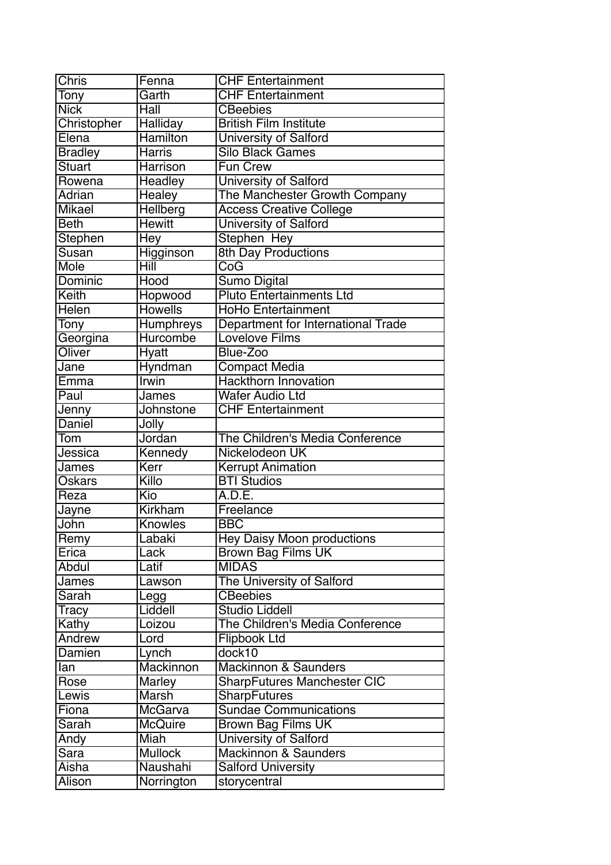| <b>Chris</b>   | Fenna            | <b>CHF Entertainment</b>           |
|----------------|------------------|------------------------------------|
| Tony           | Garth            | <b>CHF Entertainment</b>           |
| <b>Nick</b>    | Hall             | <b>CBeebies</b>                    |
| Christopher    | Halliday         | <b>British Film Institute</b>      |
| Elena          | <b>Hamilton</b>  | <b>University of Salford</b>       |
| <b>Bradley</b> | <b>Harris</b>    | <b>Silo Black Games</b>            |
| Stuart         | Harrison         | <b>Fun Crew</b>                    |
| Rowena         | Headley          | University of Salford              |
| <b>Adrian</b>  | Healey           | The Manchester Growth Company      |
| <b>Mikael</b>  | <b>Hellberg</b>  | <b>Access Creative College</b>     |
| <b>Beth</b>    | <b>Hewitt</b>    | University of Salford              |
| <b>Stephen</b> | Hey              | <b>Stephen Hey</b>                 |
| Susan          | Higginson        | <b>8th Day Productions</b>         |
| Mole           | Hill             | CoG                                |
| Dominic        | <b>Hood</b>      | <b>Sumo Digital</b>                |
| Keith          | Hopwood          | <b>Pluto Entertainments Ltd</b>    |
| Helen          | <b>Howells</b>   | <b>HoHo Entertainment</b>          |
| <b>Tony</b>    | <b>Humphreys</b> | Department for International Trade |
| Georgina       | Hurcombe         | <b>Lovelove Films</b>              |
| Oliver         | <b>Hyatt</b>     | Blue-Zoo                           |
| Jane           | <b>Hyndman</b>   | <b>Compact Media</b>               |
| Emma           | Irwin            | <b>Hackthorn Innovation</b>        |
| Paul           | James            | <b>Wafer Audio Ltd</b>             |
| Jenny          | Johnstone        | <b>CHF Entertainment</b>           |
| Daniel         | Jolly            |                                    |
| Tom            | Jordan           | The Children's Media Conference    |
| Jessica        | Kennedy          | Nickelodeon UK                     |
| James          | Kerr             | <b>Kerrupt Animation</b>           |
| Oskars         | Killo            | <b>BTI Studios</b>                 |
| Reza           | Kio              | A.D.E.                             |
| Jayne          | <b>Kirkham</b>   | Freelance                          |
| John           | <b>Knowles</b>   | <b>BBC</b>                         |
| Remy           | Labaki           | Hey Daisy Moon productions         |
| Erica          | Lack             | <b>Brown Bag Films UK</b>          |
| Abdul          | Latif            | <b>MIDAS</b>                       |
| James          | Lawson           | The University of Salford          |
| Sarah          | Legg             | <b>CBeebies</b>                    |
| Tracy          | Liddell          | <b>Studio Liddell</b>              |
| Kathy          | Loizou           | The Children's Media Conference    |
| Andrew         | Lord             | <b>Flipbook Ltd</b>                |
| Damien         | Lynch            | dock10                             |
| lan            | Mackinnon        | <b>Mackinnon &amp; Saunders</b>    |
| Rose           | <b>Marley</b>    | <b>SharpFutures Manchester CIC</b> |
| Lewis          | Marsh            | <b>SharpFutures</b>                |
| Fiona          | <b>McGarva</b>   | <b>Sundae Communications</b>       |
| Sarah          | <b>McQuire</b>   | <b>Brown Bag Films UK</b>          |
| Andy           | Miah             | University of Salford              |
| Sara           | <b>Mullock</b>   | <b>Mackinnon &amp; Saunders</b>    |
| Aisha          | Naushahi         | <b>Salford University</b>          |
| Alison         | Norrington       | storycentral                       |
|                |                  |                                    |